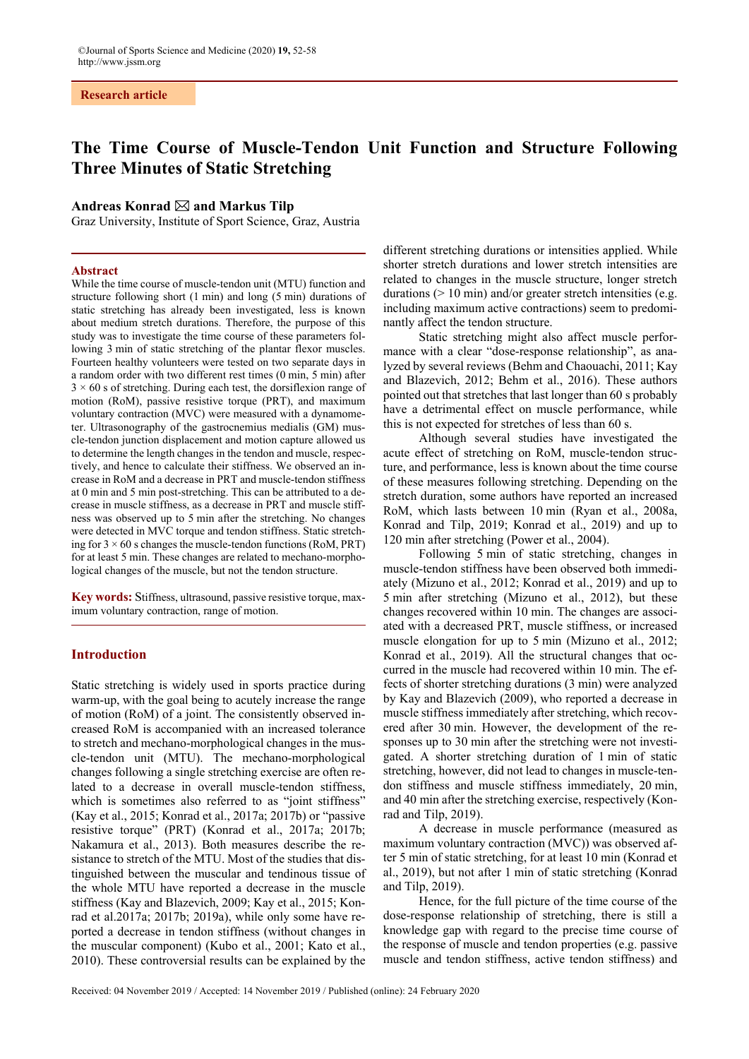# **The Time Course of Muscle-Tendon Unit Function and Structure Following Three Minutes of Static Stretching**

### Andreas Konrad  $\boxtimes$  and Markus Tilp

Graz University, Institute of Sport Science, Graz, Austria

#### **Abstract**

While the time course of muscle-tendon unit (MTU) function and structure following short (1 min) and long (5 min) durations of static stretching has already been investigated, less is known about medium stretch durations. Therefore, the purpose of this study was to investigate the time course of these parameters following 3 min of static stretching of the plantar flexor muscles. Fourteen healthy volunteers were tested on two separate days in a random order with two different rest times (0 min, 5 min) after  $3 \times 60$  s of stretching. During each test, the dorsiflexion range of motion (RoM), passive resistive torque (PRT), and maximum voluntary contraction (MVC) were measured with a dynamometer. Ultrasonography of the gastrocnemius medialis (GM) muscle-tendon junction displacement and motion capture allowed us to determine the length changes in the tendon and muscle, respectively, and hence to calculate their stiffness. We observed an increase in RoM and a decrease in PRT and muscle-tendon stiffness at 0 min and 5 min post-stretching. This can be attributed to a decrease in muscle stiffness, as a decrease in PRT and muscle stiffness was observed up to 5 min after the stretching. No changes were detected in MVC torque and tendon stiffness. Static stretching for  $3 \times 60$  s changes the muscle-tendon functions (RoM, PRT) for at least 5 min. These changes are related to mechano-morphological changes of the muscle, but not the tendon structure.

**Key words:** Stiffness, ultrasound, passive resistive torque, maximum voluntary contraction, range of motion.

# **Introduction**

Static stretching is widely used in sports practice during warm-up, with the goal being to acutely increase the range of motion (RoM) of a joint. The consistently observed increased RoM is accompanied with an increased tolerance to stretch and mechano-morphological changes in the muscle-tendon unit (MTU). The mechano-morphological changes following a single stretching exercise are often related to a decrease in overall muscle-tendon stiffness, which is sometimes also referred to as "joint stiffness" (Kay et al., 2015; Konrad et al., 2017a; 2017b) or "passive resistive torque" (PRT) (Konrad et al., 2017a; 2017b; Nakamura et al., 2013). Both measures describe the resistance to stretch of the MTU. Most of the studies that distinguished between the muscular and tendinous tissue of the whole MTU have reported a decrease in the muscle stiffness (Kay and Blazevich, 2009; Kay et al., 2015; Konrad et al.2017a; 2017b; 2019a), while only some have reported a decrease in tendon stiffness (without changes in the muscular component) (Kubo et al., 2001; Kato et al., 2010). These controversial results can be explained by the different stretching durations or intensities applied. While shorter stretch durations and lower stretch intensities are related to changes in the muscle structure, longer stretch durations (> 10 min) and/or greater stretch intensities (e.g. including maximum active contractions) seem to predominantly affect the tendon structure.

Static stretching might also affect muscle performance with a clear "dose-response relationship", as analyzed by several reviews (Behm and Chaouachi, 2011; Kay and Blazevich, 2012; Behm et al., 2016). These authors pointed out that stretches that last longer than 60 s probably have a detrimental effect on muscle performance, while this is not expected for stretches of less than 60 s.

Although several studies have investigated the acute effect of stretching on RoM, muscle-tendon structure, and performance, less is known about the time course of these measures following stretching. Depending on the stretch duration, some authors have reported an increased RoM, which lasts between 10 min (Ryan et al., 2008a, Konrad and Tilp, 2019; Konrad et al., 2019) and up to 120 min after stretching (Power et al., 2004).

Following 5 min of static stretching, changes in muscle-tendon stiffness have been observed both immediately (Mizuno et al., 2012; Konrad et al., 2019) and up to 5 min after stretching (Mizuno et al., 2012), but these changes recovered within 10 min. The changes are associated with a decreased PRT, muscle stiffness, or increased muscle elongation for up to 5 min (Mizuno et al., 2012; Konrad et al., 2019). All the structural changes that occurred in the muscle had recovered within 10 min. The effects of shorter stretching durations (3 min) were analyzed by Kay and Blazevich (2009), who reported a decrease in muscle stiffness immediately after stretching, which recovered after 30 min. However, the development of the responses up to 30 min after the stretching were not investigated. A shorter stretching duration of 1 min of static stretching, however, did not lead to changes in muscle-tendon stiffness and muscle stiffness immediately, 20 min, and 40 min after the stretching exercise, respectively (Konrad and Tilp, 2019).

A decrease in muscle performance (measured as maximum voluntary contraction (MVC)) was observed after 5 min of static stretching, for at least 10 min (Konrad et al., 2019), but not after 1 min of static stretching (Konrad and Tilp, 2019).

Hence, for the full picture of the time course of the dose-response relationship of stretching, there is still a knowledge gap with regard to the precise time course of the response of muscle and tendon properties (e.g. passive muscle and tendon stiffness, active tendon stiffness) and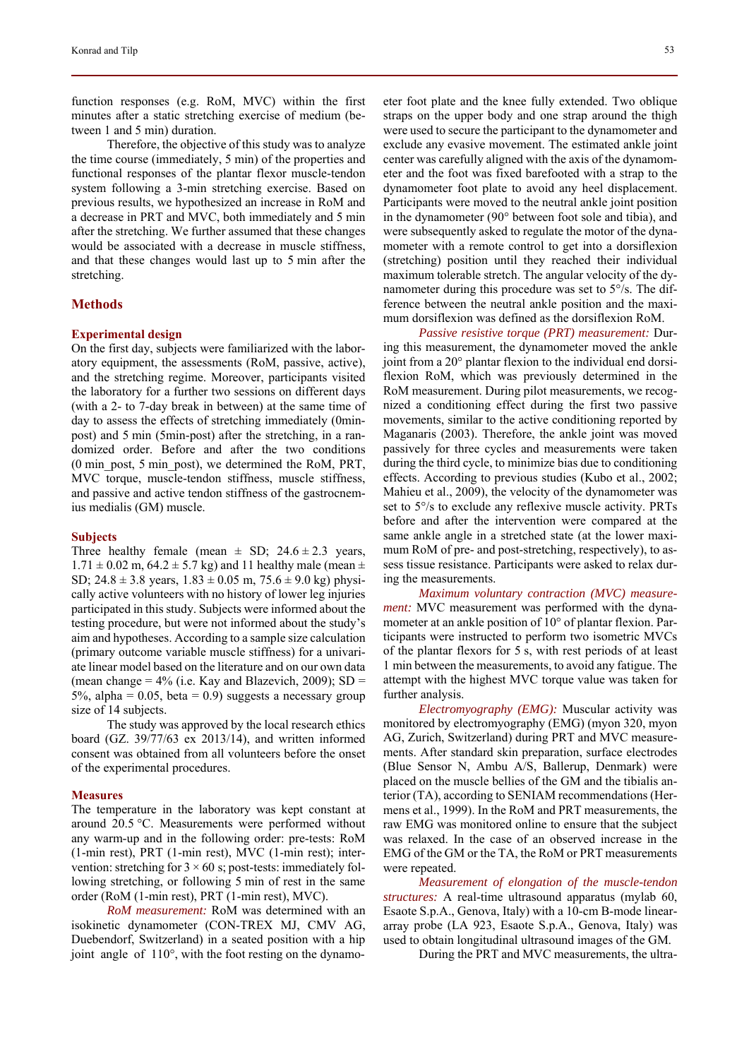function responses (e.g. RoM, MVC) within the first minutes after a static stretching exercise of medium (between 1 and 5 min) duration.

Therefore, the objective of this study was to analyze the time course (immediately, 5 min) of the properties and functional responses of the plantar flexor muscle-tendon system following a 3-min stretching exercise. Based on previous results, we hypothesized an increase in RoM and a decrease in PRT and MVC, both immediately and 5 min after the stretching. We further assumed that these changes would be associated with a decrease in muscle stiffness, and that these changes would last up to 5 min after the stretching.

### **Methods**

#### **Experimental design**

On the first day, subjects were familiarized with the laboratory equipment, the assessments (RoM, passive, active), and the stretching regime. Moreover, participants visited the laboratory for a further two sessions on different days (with a 2- to 7-day break in between) at the same time of day to assess the effects of stretching immediately (0minpost) and 5 min (5min-post) after the stretching, in a randomized order. Before and after the two conditions (0 min\_post, 5 min\_post), we determined the RoM, PRT, MVC torque, muscle-tendon stiffness, muscle stiffness, and passive and active tendon stiffness of the gastrocnemius medialis (GM) muscle.

#### **Subjects**

Three healthy female (mean  $\pm$  SD; 24.6  $\pm$  2.3 years,  $1.71 \pm 0.02$  m,  $64.2 \pm 5.7$  kg) and 11 healthy male (mean  $\pm$ SD;  $24.8 \pm 3.8$  years,  $1.83 \pm 0.05$  m,  $75.6 \pm 9.0$  kg) physically active volunteers with no history of lower leg injuries participated in this study. Subjects were informed about the testing procedure, but were not informed about the study's aim and hypotheses. According to a sample size calculation (primary outcome variable muscle stiffness) for a univariate linear model based on the literature and on our own data (mean change  $= 4\%$  (i.e. Kay and Blazevich, 2009); SD  $=$ 5%, alpha =  $0.05$ , beta =  $0.9$ ) suggests a necessary group size of 14 subjects.

The study was approved by the local research ethics board (GZ. 39/77/63 ex 2013/14), and written informed consent was obtained from all volunteers before the onset of the experimental procedures.

#### **Measures**

The temperature in the laboratory was kept constant at around 20.5 °C. Measurements were performed without any warm-up and in the following order: pre-tests: RoM (1-min rest), PRT (1-min rest), MVC (1-min rest); intervention: stretching for  $3 \times 60$  s; post-tests: immediately following stretching, or following 5 min of rest in the same order (RoM (1-min rest), PRT (1-min rest), MVC).

*RoM measurement:* RoM was determined with an isokinetic dynamometer (CON-TREX MJ, CMV AG, Duebendorf, Switzerland) in a seated position with a hip joint angle of 110°, with the foot resting on the dynamoeter foot plate and the knee fully extended. Two oblique straps on the upper body and one strap around the thigh were used to secure the participant to the dynamometer and exclude any evasive movement. The estimated ankle joint center was carefully aligned with the axis of the dynamometer and the foot was fixed barefooted with a strap to the dynamometer foot plate to avoid any heel displacement. Participants were moved to the neutral ankle joint position in the dynamometer (90° between foot sole and tibia), and were subsequently asked to regulate the motor of the dynamometer with a remote control to get into a dorsiflexion (stretching) position until they reached their individual maximum tolerable stretch. The angular velocity of the dynamometer during this procedure was set to 5°/s. The difference between the neutral ankle position and the maximum dorsiflexion was defined as the dorsiflexion RoM.

*Passive resistive torque (PRT) measurement:* During this measurement, the dynamometer moved the ankle joint from a 20° plantar flexion to the individual end dorsiflexion RoM, which was previously determined in the RoM measurement. During pilot measurements, we recognized a conditioning effect during the first two passive movements, similar to the active conditioning reported by Maganaris (2003). Therefore, the ankle joint was moved passively for three cycles and measurements were taken during the third cycle, to minimize bias due to conditioning effects. According to previous studies (Kubo et al., 2002; Mahieu et al., 2009), the velocity of the dynamometer was set to 5°/s to exclude any reflexive muscle activity. PRTs before and after the intervention were compared at the same ankle angle in a stretched state (at the lower maximum RoM of pre- and post-stretching, respectively), to assess tissue resistance. Participants were asked to relax during the measurements.

*Maximum voluntary contraction (MVC) measurement:* MVC measurement was performed with the dynamometer at an ankle position of 10° of plantar flexion. Participants were instructed to perform two isometric MVCs of the plantar flexors for 5 s, with rest periods of at least 1 min between the measurements, to avoid any fatigue. The attempt with the highest MVC torque value was taken for further analysis.

*Electromyography (EMG):* Muscular activity was monitored by electromyography (EMG) (myon 320, myon AG, Zurich, Switzerland) during PRT and MVC measurements. After standard skin preparation, surface electrodes (Blue Sensor N, Ambu A/S, Ballerup, Denmark) were placed on the muscle bellies of the GM and the tibialis anterior (TA), according to SENIAM recommendations (Hermens et al., 1999). In the RoM and PRT measurements, the raw EMG was monitored online to ensure that the subject was relaxed. In the case of an observed increase in the EMG of the GM or the TA, the RoM or PRT measurements were repeated.

*Measurement of elongation of the muscle-tendon structures:* A real-time ultrasound apparatus (mylab 60, Esaote S.p.A., Genova, Italy) with a 10-cm B-mode lineararray probe (LA 923, Esaote S.p.A., Genova, Italy) was used to obtain longitudinal ultrasound images of the GM.

During the PRT and MVC measurements, the ultra-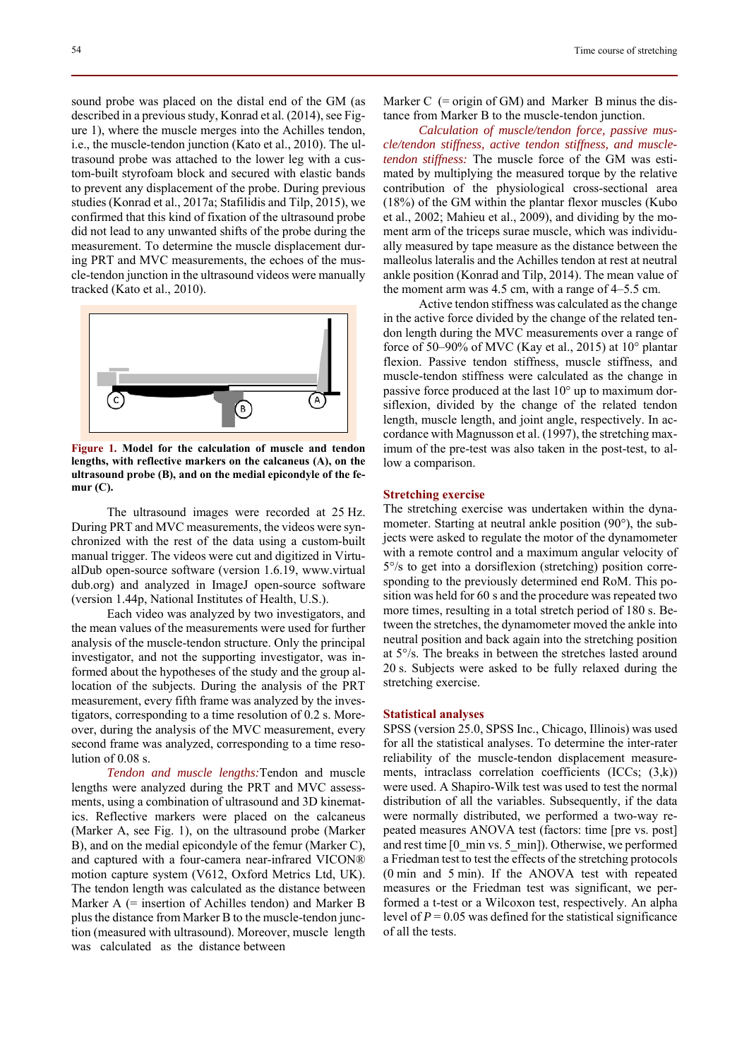sound probe was placed on the distal end of the GM (as described in a previous study, Konrad et al. (2014), see Figure 1), where the muscle merges into the Achilles tendon, i.e., the muscle-tendon junction (Kato et al., 2010). The ultrasound probe was attached to the lower leg with a custom-built styrofoam block and secured with elastic bands to prevent any displacement of the probe. During previous studies (Konrad et al., 2017a; Stafilidis and Tilp, 2015), we confirmed that this kind of fixation of the ultrasound probe did not lead to any unwanted shifts of the probe during the measurement. To determine the muscle displacement during PRT and MVC measurements, the echoes of the muscle-tendon junction in the ultrasound videos were manually tracked (Kato et al., 2010).



**Figure 1. Model for the calculation of muscle and tendon lengths, with reflective markers on the calcaneus (A), on the ultrasound probe (B), and on the medial epicondyle of the femur (C).** 

The ultrasound images were recorded at 25 Hz. During PRT and MVC measurements, the videos were synchronized with the rest of the data using a custom-built manual trigger. The videos were cut and digitized in VirtualDub open-source software (version 1.6.19, www.virtual dub.org) and analyzed in ImageJ open-source software (version 1.44p, National Institutes of Health, U.S.).

Each video was analyzed by two investigators, and the mean values of the measurements were used for further analysis of the muscle-tendon structure. Only the principal investigator, and not the supporting investigator, was informed about the hypotheses of the study and the group allocation of the subjects. During the analysis of the PRT measurement, every fifth frame was analyzed by the investigators, corresponding to a time resolution of 0.2 s. Moreover, during the analysis of the MVC measurement, every second frame was analyzed, corresponding to a time resolution of 0.08 s.

*Tendon and muscle lengths:*Tendon and muscle lengths were analyzed during the PRT and MVC assessments, using a combination of ultrasound and 3D kinematics. Reflective markers were placed on the calcaneus (Marker A, see Fig. 1), on the ultrasound probe (Marker B), and on the medial epicondyle of the femur (Marker C), and captured with a four-camera near-infrared VICON® motion capture system (V612, Oxford Metrics Ltd, UK). The tendon length was calculated as the distance between Marker  $A$  (= insertion of Achilles tendon) and Marker B plus the distance from Marker B to the muscle-tendon junction (measured with ultrasound). Moreover, muscle length was calculated as the distance between

54 Time course of stretching

Marker  $C$  (= origin of GM) and Marker B minus the distance from Marker B to the muscle-tendon junction.

*Calculation of muscle/tendon force, passive muscle/tendon stiffness, active tendon stiffness, and muscletendon stiffness:* The muscle force of the GM was estimated by multiplying the measured torque by the relative contribution of the physiological cross-sectional area (18%) of the GM within the plantar flexor muscles (Kubo et al., 2002; Mahieu et al., 2009), and dividing by the moment arm of the triceps surae muscle, which was individually measured by tape measure as the distance between the malleolus lateralis and the Achilles tendon at rest at neutral ankle position (Konrad and Tilp, 2014). The mean value of the moment arm was 4.5 cm, with a range of 4–5.5 cm.

Active tendon stiffness was calculated as the change in the active force divided by the change of the related tendon length during the MVC measurements over a range of force of 50–90% of MVC (Kay et al., 2015) at 10° plantar flexion. Passive tendon stiffness, muscle stiffness, and muscle-tendon stiffness were calculated as the change in passive force produced at the last 10° up to maximum dorsiflexion, divided by the change of the related tendon length, muscle length, and joint angle, respectively. In accordance with Magnusson et al. (1997), the stretching maximum of the pre-test was also taken in the post-test, to allow a comparison.

### **Stretching exercise**

The stretching exercise was undertaken within the dynamometer. Starting at neutral ankle position (90°), the subjects were asked to regulate the motor of the dynamometer with a remote control and a maximum angular velocity of 5°/s to get into a dorsiflexion (stretching) position corresponding to the previously determined end RoM. This position was held for 60 s and the procedure was repeated two more times, resulting in a total stretch period of 180 s. Between the stretches, the dynamometer moved the ankle into neutral position and back again into the stretching position at 5°/s. The breaks in between the stretches lasted around 20 s. Subjects were asked to be fully relaxed during the stretching exercise.

#### **Statistical analyses**

SPSS (version 25.0, SPSS Inc., Chicago, Illinois) was used for all the statistical analyses. To determine the inter-rater reliability of the muscle-tendon displacement measurements, intraclass correlation coefficients (ICCs; (3,k)) were used. A Shapiro-Wilk test was used to test the normal distribution of all the variables. Subsequently, if the data were normally distributed, we performed a two-way repeated measures ANOVA test (factors: time [pre vs. post] and rest time [0\_min vs. 5\_min]). Otherwise, we performed a Friedman test to test the effects of the stretching protocols (0 min and 5 min). If the ANOVA test with repeated measures or the Friedman test was significant, we performed a t-test or a Wilcoxon test, respectively. An alpha level of  $P = 0.05$  was defined for the statistical significance of all the tests.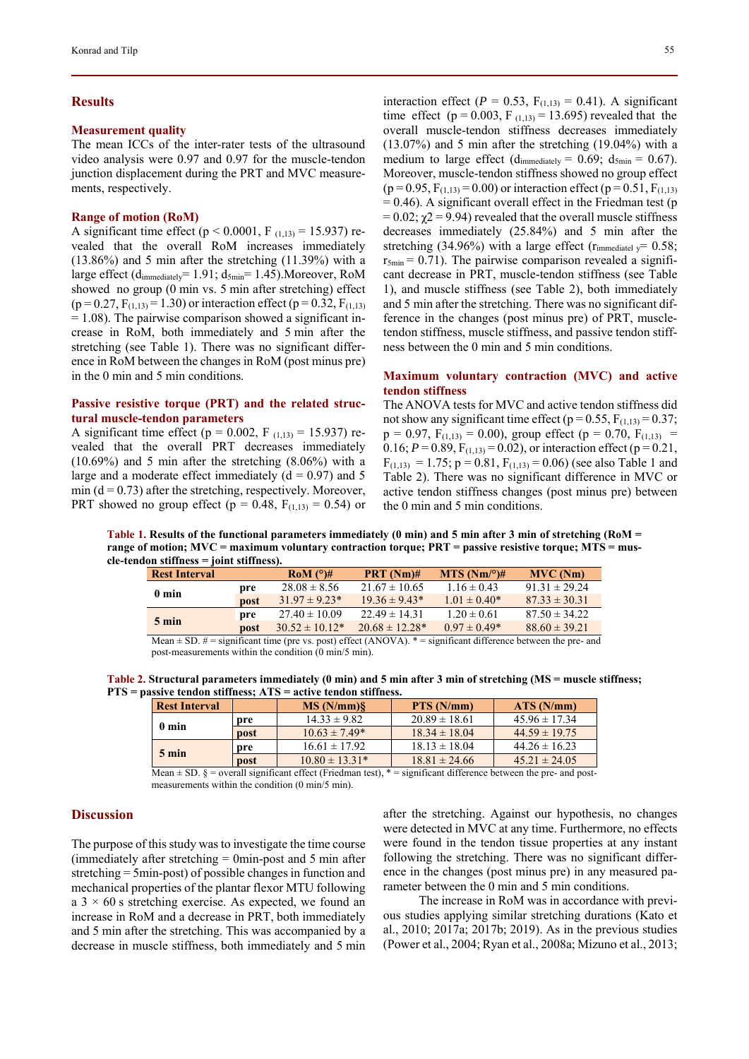### **Results**

### **Measurement quality**

The mean ICCs of the inter-rater tests of the ultrasound video analysis were 0.97 and 0.97 for the muscle-tendon junction displacement during the PRT and MVC measurements, respectively.

#### **Range of motion (RoM)**

A significant time effect ( $p < 0.0001$ , F<sub>(1,13)</sub> = 15.937) revealed that the overall RoM increases immediately (13.86%) and 5 min after the stretching (11.39%) with a large effect  $(d_{immediately} = 1.91; d_{5min} = 1.45)$ . Moreover, RoM showed no group (0 min vs. 5 min after stretching) effect  $(p=0.27, F<sub>(1,13)</sub> = 1.30)$  or interaction effect  $(p=0.32, F<sub>(1,13)</sub>$  $= 1.08$ ). The pairwise comparison showed a significant increase in RoM, both immediately and 5 min after the stretching (see Table 1). There was no significant difference in RoM between the changes in RoM (post minus pre) in the 0 min and 5 min conditions.

# **Passive resistive torque (PRT) and the related structural muscle-tendon parameters**

A significant time effect ( $p = 0.002$ , F<sub>(1,13)</sub> = 15.937) revealed that the overall PRT decreases immediately (10.69%) and 5 min after the stretching (8.06%) with a large and a moderate effect immediately  $(d = 0.97)$  and 5 min ( $d = 0.73$ ) after the stretching, respectively. Moreover, PRT showed no group effect ( $p = 0.48$ ,  $F_{(1,13)} = 0.54$ ) or interaction effect ( $P = 0.53$ ,  $F_{(1,13)} = 0.41$ ). A significant time effect ( $p = 0.003$ ,  $F_{(1,13)} = 13.695$ ) revealed that the overall muscle-tendon stiffness decreases immediately (13.07%) and 5 min after the stretching (19.04%) with a medium to large effect (d<sub>immediately</sub> = 0.69;  $d_{5min}$  = 0.67). Moreover, muscle-tendon stiffness showed no group effect  $(p = 0.95, F<sub>(1,13)</sub> = 0.00)$  or interaction effect  $(p = 0.51, F<sub>(1,13)</sub>$  $= 0.46$ ). A significant overall effect in the Friedman test (p =  $0.02$ ;  $\gamma$ 2 = 9.94) revealed that the overall muscle stiffness decreases immediately (25.84%) and 5 min after the stretching (34.96%) with a large effect ( $r_{\text{immediately}} = 0.58$ ;  $r_{5min} = 0.71$ ). The pairwise comparison revealed a significant decrease in PRT, muscle-tendon stiffness (see Table 1), and muscle stiffness (see Table 2), both immediately and 5 min after the stretching. There was no significant difference in the changes (post minus pre) of PRT, muscletendon stiffness, muscle stiffness, and passive tendon stiffness between the 0 min and 5 min conditions.

## **Maximum voluntary contraction (MVC) and active tendon stiffness**

The ANOVA tests for MVC and active tendon stiffness did not show any significant time effect ( $p = 0.55$ ,  $F_{(1,13)} = 0.37$ ;  $p = 0.97$ ,  $F_{(1,13)} = 0.00$ , group effect ( $p = 0.70$ ,  $F_{(1,13)} =$ 0.16;  $P = 0.89$ ,  $F_{(1,13)} = 0.02$ ), or interaction effect ( $p = 0.21$ ,  $F_{(1,13)} = 1.75$ ;  $p = 0.81$ ,  $F_{(1,13)} = 0.06$ ) (see also Table 1 and Table 2). There was no significant difference in MVC or active tendon stiffness changes (post minus pre) between the 0 min and 5 min conditions.

**Table 1. Results of the functional parameters immediately (0 min) and 5 min after 3 min of stretching (RoM = range of motion; MVC = maximum voluntary contraction torque; PRT = passive resistive torque; MTS = muscle-tendon stiffness = joint stiffness).** 

|                                                                                                                   | <b>TOILLE SCHLIBOST</b> |                     |                     |                      |                   |
|-------------------------------------------------------------------------------------------------------------------|-------------------------|---------------------|---------------------|----------------------|-------------------|
| <b>Rest Interval</b>                                                                                              |                         | $\text{RoM}$ (°)#   | <b>PRT</b> $(Nm)$ # | $MTS (Nm)^{\circ}$ # | <b>MVC</b> (Nm)   |
| 0 min                                                                                                             | pre                     | $28.08 \pm 8.56$    | $21.67 \pm 10.65$   | $1.16 \pm 0.43$      | $91.31 \pm 29.24$ |
|                                                                                                                   | <b>post</b>             | $31.97 \pm 9.23*$   | $19.36 \pm 9.43*$   | $1.01 \pm 0.40^*$    | $87.33 \pm 30.31$ |
| $5 \text{ min}$                                                                                                   | pre                     | $27.40 \pm 10.09$   | $22.49 \pm 14.31$   | $1.20 \pm 0.61$      | $87.50 \pm 34.22$ |
|                                                                                                                   | post                    | $30.52 \pm 10.12^*$ | $20.68 \pm 12.28*$  | $0.97 \pm 0.49*$     | $88.60 \pm 39.21$ |
| Mean + SD $\#$ = significant time (pre vs. post) effect (ANOVA) $*$ = significant difference between the pre- and |                         |                     |                     |                      |                   |

 $(ANOVA).$   $*$  = significant difference between the pre- and post-measurements within the condition (0 min/5 min).

| Table 2. Structural parameters immediately $(0 \text{ min})$ and 5 min after 3 min of stretching (MS = muscle stiffness; |  |
|--------------------------------------------------------------------------------------------------------------------------|--|
| $PTS$ = passive tendon stiffness; $ATS$ = active tendon stiffness.                                                       |  |

| <b>Rest Interval</b> |             | MS(N/mm)           | PTS (N/mm)        | ATS(N/mm)         |
|----------------------|-------------|--------------------|-------------------|-------------------|
| 0 min                | pre         | $14.33 \pm 9.82$   | $20.89 \pm 18.61$ | $45.96 \pm 17.34$ |
|                      | <b>post</b> | $10.63 \pm 7.49*$  | $18.34 \pm 18.04$ | $44.59 \pm 19.75$ |
| $5 \text{ min}$      | pre         | $16.61 \pm 17.92$  | $18.13 \pm 18.04$ | $44.26 \pm 16.23$ |
|                      | <b>post</b> | $10.80 \pm 13.31*$ | $18.81 \pm 24.66$ | $45.21 \pm 24.05$ |

Mean  $\pm$  SD.  $\S$  = overall significant effect (Friedman test),  $*$  = significant difference between the pre- and postmeasurements within the condition (0 min/5 min).

#### **Discussion**

The purpose of this study was to investigate the time course (immediately after stretching = 0min-post and 5 min after stretching = 5min-post) of possible changes in function and mechanical properties of the plantar flexor MTU following a  $3 \times 60$  s stretching exercise. As expected, we found an increase in RoM and a decrease in PRT, both immediately and 5 min after the stretching. This was accompanied by a decrease in muscle stiffness, both immediately and 5 min after the stretching. Against our hypothesis, no changes were detected in MVC at any time. Furthermore, no effects were found in the tendon tissue properties at any instant following the stretching. There was no significant difference in the changes (post minus pre) in any measured parameter between the 0 min and 5 min conditions.

The increase in RoM was in accordance with previous studies applying similar stretching durations (Kato et al., 2010; 2017a; 2017b; 2019). As in the previous studies (Power et al., 2004; Ryan et al., 2008a; Mizuno et al., 2013;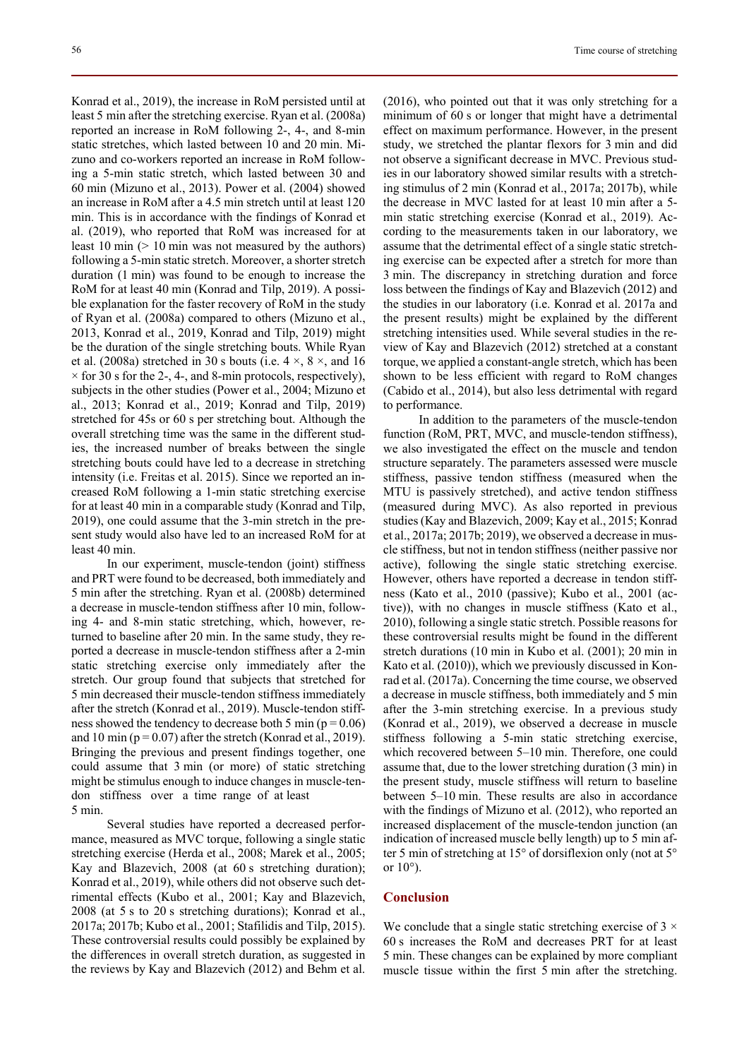Konrad et al., 2019), the increase in RoM persisted until at least 5 min after the stretching exercise. Ryan et al. (2008a) reported an increase in RoM following 2-, 4-, and 8-min static stretches, which lasted between 10 and 20 min. Mizuno and co-workers reported an increase in RoM following a 5-min static stretch, which lasted between 30 and 60 min (Mizuno et al., 2013). Power et al. (2004) showed an increase in RoM after a 4.5 min stretch until at least 120 min. This is in accordance with the findings of Konrad et al. (2019), who reported that RoM was increased for at least 10 min (> 10 min was not measured by the authors) following a 5-min static stretch. Moreover, a shorter stretch duration (1 min) was found to be enough to increase the RoM for at least 40 min (Konrad and Tilp, 2019). A possible explanation for the faster recovery of RoM in the study of Ryan et al. (2008a) compared to others (Mizuno et al., 2013, Konrad et al., 2019, Konrad and Tilp, 2019) might be the duration of the single stretching bouts. While Ryan et al. (2008a) stretched in 30 s bouts (i.e.  $4 \times$ ,  $8 \times$ , and 16  $\times$  for 30 s for the 2-, 4-, and 8-min protocols, respectively), subjects in the other studies (Power et al., 2004; Mizuno et al., 2013; Konrad et al., 2019; Konrad and Tilp, 2019) stretched for 45s or 60 s per stretching bout. Although the overall stretching time was the same in the different studies, the increased number of breaks between the single stretching bouts could have led to a decrease in stretching intensity (i.e. Freitas et al. 2015). Since we reported an increased RoM following a 1-min static stretching exercise for at least 40 min in a comparable study (Konrad and Tilp, 2019), one could assume that the 3-min stretch in the present study would also have led to an increased RoM for at least 40 min.

In our experiment, muscle-tendon (joint) stiffness and PRT were found to be decreased, both immediately and 5 min after the stretching. Ryan et al. (2008b) determined a decrease in muscle-tendon stiffness after 10 min, following 4- and 8-min static stretching, which, however, returned to baseline after 20 min. In the same study, they reported a decrease in muscle-tendon stiffness after a 2-min static stretching exercise only immediately after the stretch. Our group found that subjects that stretched for 5 min decreased their muscle-tendon stiffness immediately after the stretch (Konrad et al., 2019). Muscle-tendon stiffness showed the tendency to decrease both 5 min ( $p = 0.06$ ) and 10 min ( $p = 0.07$ ) after the stretch (Konrad et al., 2019). Bringing the previous and present findings together, one could assume that 3 min (or more) of static stretching might be stimulus enough to induce changes in muscle-tendon stiffness over a time range of at least 5 min.

Several studies have reported a decreased performance, measured as MVC torque, following a single static stretching exercise (Herda et al., 2008; Marek et al., 2005; Kay and Blazevich, 2008 (at 60 s stretching duration); Konrad et al., 2019), while others did not observe such detrimental effects (Kubo et al., 2001; Kay and Blazevich, 2008 (at 5 s to 20 s stretching durations); Konrad et al., 2017a; 2017b; Kubo et al., 2001; Stafilidis and Tilp, 2015). These controversial results could possibly be explained by the differences in overall stretch duration, as suggested in the reviews by Kay and Blazevich (2012) and Behm et al. (2016), who pointed out that it was only stretching for a minimum of 60 s or longer that might have a detrimental effect on maximum performance. However, in the present study, we stretched the plantar flexors for 3 min and did not observe a significant decrease in MVC. Previous studies in our laboratory showed similar results with a stretching stimulus of 2 min (Konrad et al., 2017a; 2017b), while the decrease in MVC lasted for at least 10 min after a 5 min static stretching exercise (Konrad et al., 2019). According to the measurements taken in our laboratory, we assume that the detrimental effect of a single static stretching exercise can be expected after a stretch for more than 3 min. The discrepancy in stretching duration and force loss between the findings of Kay and Blazevich (2012) and the studies in our laboratory (i.e. Konrad et al. 2017a and the present results) might be explained by the different stretching intensities used. While several studies in the review of Kay and Blazevich (2012) stretched at a constant torque, we applied a constant-angle stretch, which has been shown to be less efficient with regard to RoM changes (Cabido et al., 2014), but also less detrimental with regard to performance.

In addition to the parameters of the muscle-tendon function (RoM, PRT, MVC, and muscle-tendon stiffness), we also investigated the effect on the muscle and tendon structure separately. The parameters assessed were muscle stiffness, passive tendon stiffness (measured when the MTU is passively stretched), and active tendon stiffness (measured during MVC). As also reported in previous studies (Kay and Blazevich, 2009; Kay et al., 2015; Konrad et al., 2017a; 2017b; 2019), we observed a decrease in muscle stiffness, but not in tendon stiffness (neither passive nor active), following the single static stretching exercise. However, others have reported a decrease in tendon stiffness (Kato et al., 2010 (passive); Kubo et al., 2001 (active)), with no changes in muscle stiffness (Kato et al., 2010), following a single static stretch. Possible reasons for these controversial results might be found in the different stretch durations (10 min in Kubo et al. (2001); 20 min in Kato et al. (2010)), which we previously discussed in Konrad et al. (2017a). Concerning the time course, we observed a decrease in muscle stiffness, both immediately and 5 min after the 3-min stretching exercise. In a previous study (Konrad et al., 2019), we observed a decrease in muscle stiffness following a 5-min static stretching exercise, which recovered between 5–10 min. Therefore, one could assume that, due to the lower stretching duration (3 min) in the present study, muscle stiffness will return to baseline between 5–10 min. These results are also in accordance with the findings of Mizuno et al. (2012), who reported an increased displacement of the muscle-tendon junction (an indication of increased muscle belly length) up to 5 min after 5 min of stretching at 15° of dorsiflexion only (not at 5° or  $10^{\circ}$ ).

#### **Conclusion**

We conclude that a single static stretching exercise of  $3 \times$ 60 s increases the RoM and decreases PRT for at least 5 min. These changes can be explained by more compliant muscle tissue within the first 5 min after the stretching.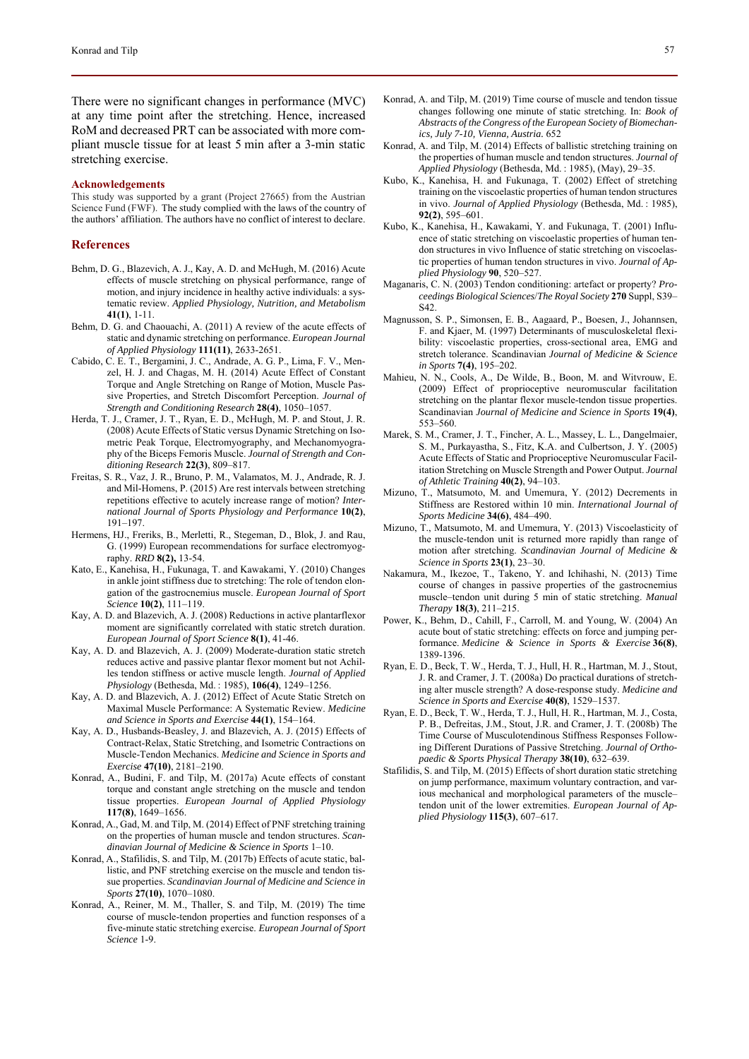There were no significant changes in performance (MVC) at any time point after the stretching. Hence, increased RoM and decreased PRT can be associated with more compliant muscle tissue for at least 5 min after a 3-min static stretching exercise.

#### **Acknowledgements**

This study was supported by a grant (Project 27665) from the Austrian Science Fund (FWF). The study complied with the laws of the country of the authors' affiliation. The authors have no conflict of interest to declare.

#### **References**

- Behm, D. G., Blazevich, A. J., Kay, A. D. and McHugh, M. (2016) Acute effects of muscle stretching on physical performance, range of motion, and injury incidence in healthy active individuals: a systematic review. *Applied Physiology, Nutrition, and Metabolism* **41(1)**, 1-11.
- Behm, D. G. and Chaouachi, A. (2011) A review of the acute effects of static and dynamic stretching on performance. *European Journal of Applied Physiology* **111(11)**, 2633-2651.
- Cabido, C. E. T., Bergamini, J. C., Andrade, A. G. P., Lima, F. V., Menzel, H. J. and Chagas, M. H. (2014) Acute Effect of Constant Torque and Angle Stretching on Range of Motion, Muscle Passive Properties, and Stretch Discomfort Perception. *Journal of Strength and Conditioning Research* **28(4)**, 1050–1057.
- Herda, T. J., Cramer, J. T., Ryan, E. D., McHugh, M. P. and Stout, J. R. (2008) Acute Effects of Static versus Dynamic Stretching on Isometric Peak Torque, Electromyography, and Mechanomyography of the Biceps Femoris Muscle. *Journal of Strength and Conditioning Research* **22(3)**, 809–817.
- Freitas, S. R., Vaz, J. R., Bruno, P. M., Valamatos, M. J., Andrade, R. J. and Mil-Homens, P. (2015) Are rest intervals between stretching repetitions effective to acutely increase range of motion? *International Journal of Sports Physiology and Performance* **10(2)**, 191–197.
- Hermens, HJ., Freriks, B., Merletti, R., Stegeman, D., Blok, J. and Rau, G. (1999) European recommendations for surface electromyography. *RRD* **8(2),** 13-54.
- Kato, E., Kanehisa, H., Fukunaga, T. and Kawakami, Y. (2010) Changes in ankle joint stiffness due to stretching: The role of tendon elongation of the gastrocnemius muscle. *European Journal of Sport Science* **10(2)**, 111–119.
- Kay, A. D. and Blazevich, A. J. (2008) Reductions in active plantarflexor moment are significantly correlated with static stretch duration. *European Journal of Sport Science* **8(1)**, 41-46.
- Kay, A. D. and Blazevich, A. J. (2009) Moderate-duration static stretch reduces active and passive plantar flexor moment but not Achilles tendon stiffness or active muscle length. *Journal of Applied Physiology* (Bethesda, Md. : 1985), **106(4)**, 1249–1256.
- Kay, A. D. and Blazevich, A. J. (2012) Effect of Acute Static Stretch on Maximal Muscle Performance: A Systematic Review. *Medicine and Science in Sports and Exercise* **44(1)**, 154–164.
- Kay, A. D., Husbands-Beasley, J. and Blazevich, A. J. (2015) Effects of Contract-Relax, Static Stretching, and Isometric Contractions on Muscle-Tendon Mechanics. *Medicine and Science in Sports and Exercise* **47(10)**, 2181–2190.
- Konrad, A., Budini, F. and Tilp, M. (2017a) Acute effects of constant torque and constant angle stretching on the muscle and tendon tissue properties. *European Journal of Applied Physiology* **117(8)**, 1649–1656.
- Konrad, A., Gad, M. and Tilp, M. (2014) Effect of PNF stretching training on the properties of human muscle and tendon structures. *Scandinavian Journal of Medicine & Science in Sports* 1–10.
- Konrad, A., Stafilidis, S. and Tilp, M. (2017b) Effects of acute static, ballistic, and PNF stretching exercise on the muscle and tendon tissue properties. *Scandinavian Journal of Medicine and Science in Sports* **27(10)**, 1070–1080.
- Konrad, A., Reiner, M. M., Thaller, S. and Tilp, M. (2019) The time course of muscle-tendon properties and function responses of a five-minute static stretching exercise. *European Journal of Sport Science* 1-9.
- Konrad, A. and Tilp, M. (2019) Time course of muscle and tendon tissue changes following one minute of static stretching. In: *Book of Abstracts of the Congress of the European Society of Biomechanics, July 7-10, Vienna, Austria.* 652
- Konrad, A. and Tilp, M. (2014) Effects of ballistic stretching training on the properties of human muscle and tendon structures. *Journal of Applied Physiology* (Bethesda, Md. : 1985), (May), 29–35.
- Kubo, K., Kanehisa, H. and Fukunaga, T. (2002) Effect of stretching training on the viscoelastic properties of human tendon structures in vivo. *Journal of Applied Physiology* (Bethesda, Md. : 1985), **92(2)**, 595–601.
- Kubo, K., Kanehisa, H., Kawakami, Y. and Fukunaga, T. (2001) Influence of static stretching on viscoelastic properties of human tendon structures in vivo Influence of static stretching on viscoelastic properties of human tendon structures in vivo. *Journal of Applied Physiology* **90**, 520–527.
- Maganaris, C. N. (2003) Tendon conditioning: artefact or property? *Proceedings Biological Sciences*/*The Royal Society* **270** Suppl, S39– S42.
- Magnusson, S. P., Simonsen, E. B., Aagaard, P., Boesen, J., Johannsen, F. and Kjaer, M. (1997) Determinants of musculoskeletal flexibility: viscoelastic properties, cross-sectional area, EMG and stretch tolerance. Scandinavian *Journal of Medicine & Science in Sports* **7(4)**, 195–202.
- Mahieu, N. N., Cools, A., De Wilde, B., Boon, M. and Witvrouw, E. (2009) Effect of proprioceptive neuromuscular facilitation stretching on the plantar flexor muscle-tendon tissue properties. Scandinavian *Journal of Medicine and Science in Sports* **19(4)**, 553–560.
- Marek, S. M., Cramer, J. T., Fincher, A. L., Massey, L. L., Dangelmaier, S. M., Purkayastha, S., Fitz, K.A. and Culbertson, J. Y. (2005) Acute Effects of Static and Proprioceptive Neuromuscular Facilitation Stretching on Muscle Strength and Power Output. *Journal of Athletic Training* **40(2)**, 94–103.
- Mizuno, T., Matsumoto, M. and Umemura, Y. (2012) Decrements in Stiffness are Restored within 10 min. *International Journal of Sports Medicine* **34(6)**, 484–490.
- Mizuno, T., Matsumoto, M. and Umemura, Y. (2013) Viscoelasticity of the muscle-tendon unit is returned more rapidly than range of motion after stretching. *Scandinavian Journal of Medicine & Science in Sports* **23(1)**, 23–30.
- Nakamura, M., Ikezoe, T., Takeno, Y. and Ichihashi, N. (2013) Time course of changes in passive properties of the gastrocnemius muscle–tendon unit during 5 min of static stretching. *Manual Therapy* **18(3)**, 211–215.
- Power, K., Behm, D., Cahill, F., Carroll, M. and Young, W. (2004) An acute bout of static stretching: effects on force and jumping performance. *Medicine & Science in Sports & Exercise* **36(8)**, 1389-1396.
- Ryan, E. D., Beck, T. W., Herda, T. J., Hull, H. R., Hartman, M. J., Stout, J. R. and Cramer, J. T. (2008a) Do practical durations of stretching alter muscle strength? A dose-response study. *Medicine and Science in Sports and Exercise* **40(8)**, 1529–1537.
- Ryan, E. D., Beck, T. W., Herda, T. J., Hull, H. R., Hartman, M. J., Costa, P. B., Defreitas, J.M., Stout, J.R. and Cramer, J. T. (2008b) The Time Course of Musculotendinous Stiffness Responses Following Different Durations of Passive Stretching. *Journal of Orthopaedic & Sports Physical Therapy* **38(10)**, 632–639.
- Stafilidis, S. and Tilp, M. (2015) Effects of short duration static stretching on jump performance, maximum voluntary contraction, and various mechanical and morphological parameters of the muscle– tendon unit of the lower extremities. *European Journal of Applied Physiology* **115(3)**, 607–617.